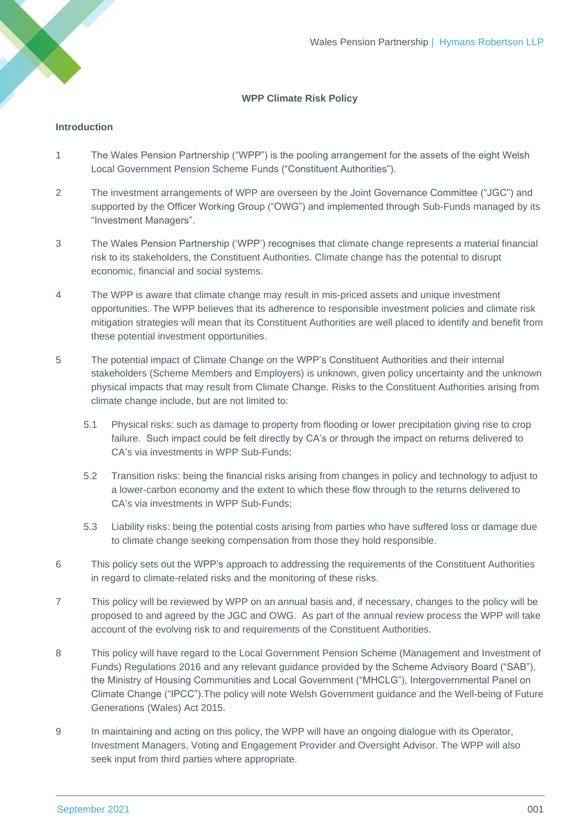# **WPP Climate Risk Policy**

## **Introduction**

- 1 The Wales Pension Partnership ("WPP") is the pooling arrangement for the assets of the eight Welsh Local Government Pension Scheme Funds ("Constituent Authorities").
- 2 The investment arrangements of WPP are overseen by the Joint Governance Committee ("JGC") and supported by the Officer Working Group ("OWG") and implemented through Sub-Funds managed by its "Investment Managers".
- 3 The Wales Pension Partnership ('WPP') recognises that climate change represents a material financial risk to its stakeholders, the Constituent Authorities. Climate change has the potential to disrupt economic, financial and social systems.
- 4 The WPP is aware that climate change may result in mis-priced assets and unique investment opportunities. The WPP believes that its adherence to responsible investment policies and climate risk mitigation strategies will mean that its Constituent Authorities are well placed to identify and benefit from these potential investment opportunities.
- 5 The potential impact of Climate Change on the WPP's Constituent Authorities and their internal stakeholders (Scheme Members and Employers) is unknown, given policy uncertainty and the unknown physical impacts that may result from Climate Change. Risks to the Constituent Authorities arising from climate change include, but are not limited to:
	- 5.1 Physical risks: such as damage to property from flooding or lower precipitation giving rise to crop failure. Such impact could be felt directly by CA's or through the impact on returns delivered to CA's via investments in WPP Sub-Funds;
	- 5.2 Transition risks: being the financial risks arising from changes in policy and technology to adjust to a lower-carbon economy and the extent to which these flow through to the returns delivered to CA's via investments in WPP Sub-Funds;
	- 5.3 Liability risks: being the potential costs arising from parties who have suffered loss or damage due to climate change seeking compensation from those they hold responsible.
- 6 This policy sets out the WPP's approach to addressing the requirements of the Constituent Authorities in regard to climate-related risks and the monitoring of these risks.
- 7 This policy will be reviewed by WPP on an annual basis and, if necessary, changes to the policy will be proposed to and agreed by the JGC and OWG. As part of the annual review process the WPP will take account of the evolving risk to and requirements of the Constituent Authorities.
- 8 This policy will have regard to the Local Government Pension Scheme (Management and Investment of Funds) Regulations 2016 and any relevant guidance provided by the Scheme Advisory Board ("SAB"), the Ministry of Housing Communities and Local Government ("MHCLG"), Intergovernmental Panel on Climate Change ("IPCC").The policy will note Welsh Government guidance and the Well-being of Future Generations (Wales) Act 2015.
- 9 In maintaining and acting on this policy, the WPP will have an ongoing dialogue with its Operator, Investment Managers, Voting and Engagement Provider and Oversight Advisor. The WPP will also seek input from third parties where appropriate.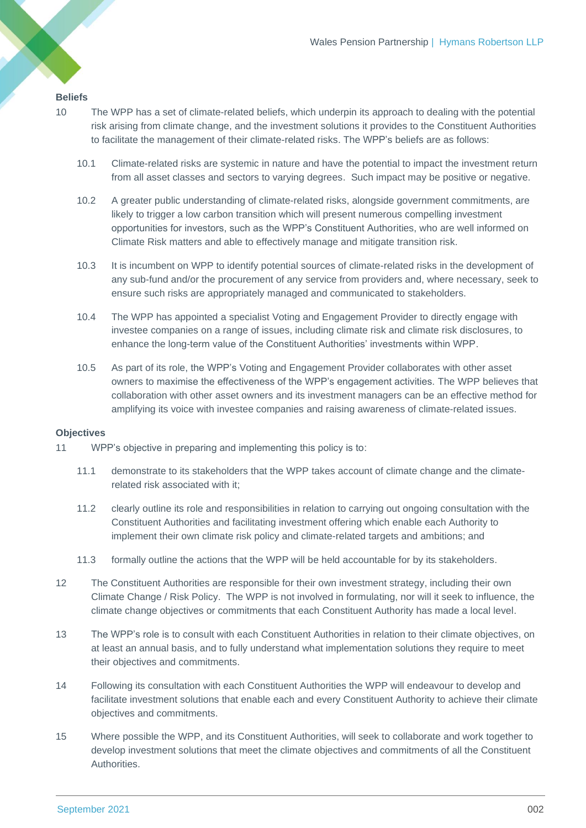### **Beliefs**

- 10 The WPP has a set of climate-related beliefs, which underpin its approach to dealing with the potential risk arising from climate change, and the investment solutions it provides to the Constituent Authorities to facilitate the management of their climate-related risks. The WPP's beliefs are as follows:
	- 10.1 Climate-related risks are systemic in nature and have the potential to impact the investment return from all asset classes and sectors to varying degrees. Such impact may be positive or negative.
	- 10.2 A greater public understanding of climate-related risks, alongside government commitments, are likely to trigger a low carbon transition which will present numerous compelling investment opportunities for investors, such as the WPP's Constituent Authorities, who are well informed on Climate Risk matters and able to effectively manage and mitigate transition risk.
	- 10.3 It is incumbent on WPP to identify potential sources of climate-related risks in the development of any sub-fund and/or the procurement of any service from providers and, where necessary, seek to ensure such risks are appropriately managed and communicated to stakeholders.
	- 10.4 The WPP has appointed a specialist Voting and Engagement Provider to directly engage with investee companies on a range of issues, including climate risk and climate risk disclosures, to enhance the long-term value of the Constituent Authorities' investments within WPP.
	- 10.5 As part of its role, the WPP's Voting and Engagement Provider collaborates with other asset owners to maximise the effectiveness of the WPP's engagement activities. The WPP believes that collaboration with other asset owners and its investment managers can be an effective method for amplifying its voice with investee companies and raising awareness of climate-related issues.

#### **Objectives**

- 11 WPP's objective in preparing and implementing this policy is to:
	- 11.1 demonstrate to its stakeholders that the WPP takes account of climate change and the climaterelated risk associated with it;
	- 11.2 clearly outline its role and responsibilities in relation to carrying out ongoing consultation with the Constituent Authorities and facilitating investment offering which enable each Authority to implement their own climate risk policy and climate-related targets and ambitions; and
	- 11.3 formally outline the actions that the WPP will be held accountable for by its stakeholders.
- 12 The Constituent Authorities are responsible for their own investment strategy, including their own Climate Change / Risk Policy. The WPP is not involved in formulating, nor will it seek to influence, the climate change objectives or commitments that each Constituent Authority has made a local level.
- 13 The WPP's role is to consult with each Constituent Authorities in relation to their climate objectives, on at least an annual basis, and to fully understand what implementation solutions they require to meet their objectives and commitments.
- 14 Following its consultation with each Constituent Authorities the WPP will endeavour to develop and facilitate investment solutions that enable each and every Constituent Authority to achieve their climate objectives and commitments.
- 15 Where possible the WPP, and its Constituent Authorities, will seek to collaborate and work together to develop investment solutions that meet the climate objectives and commitments of all the Constituent Authorities.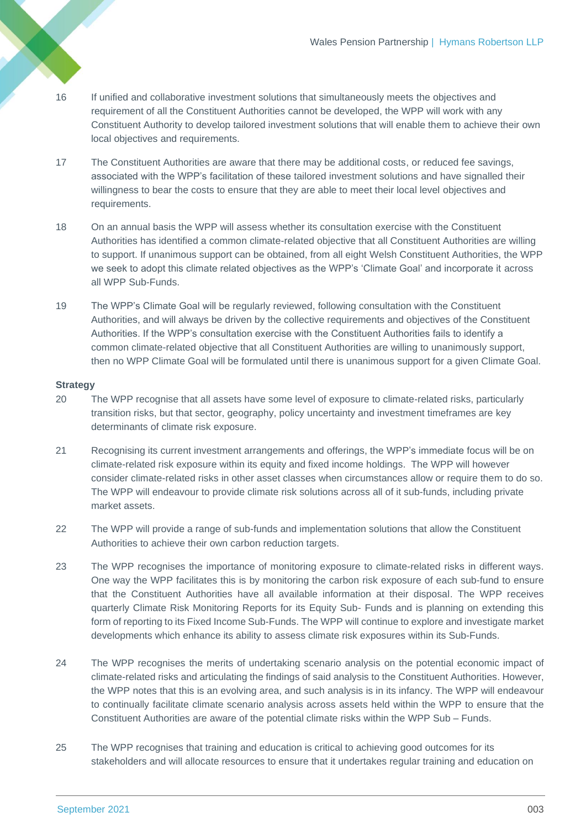- 16 If unified and collaborative investment solutions that simultaneously meets the objectives and requirement of all the Constituent Authorities cannot be developed, the WPP will work with any Constituent Authority to develop tailored investment solutions that will enable them to achieve their own local objectives and requirements.
- 17 The Constituent Authorities are aware that there may be additional costs, or reduced fee savings, associated with the WPP's facilitation of these tailored investment solutions and have signalled their willingness to bear the costs to ensure that they are able to meet their local level objectives and requirements.
- 18 On an annual basis the WPP will assess whether its consultation exercise with the Constituent Authorities has identified a common climate-related objective that all Constituent Authorities are willing to support. If unanimous support can be obtained, from all eight Welsh Constituent Authorities, the WPP we seek to adopt this climate related objectives as the WPP's 'Climate Goal' and incorporate it across all WPP Sub-Funds.
- 19 The WPP's Climate Goal will be regularly reviewed, following consultation with the Constituent Authorities, and will always be driven by the collective requirements and objectives of the Constituent Authorities. If the WPP's consultation exercise with the Constituent Authorities fails to identify a common climate-related objective that all Constituent Authorities are willing to unanimously support, then no WPP Climate Goal will be formulated until there is unanimous support for a given Climate Goal.

## **Strategy**

- 20 The WPP recognise that all assets have some level of exposure to climate-related risks, particularly transition risks, but that sector, geography, policy uncertainty and investment timeframes are key determinants of climate risk exposure.
- 21 Recognising its current investment arrangements and offerings, the WPP's immediate focus will be on climate-related risk exposure within its equity and fixed income holdings. The WPP will however consider climate-related risks in other asset classes when circumstances allow or require them to do so. The WPP will endeavour to provide climate risk solutions across all of it sub-funds, including private market assets.
- 22 The WPP will provide a range of sub-funds and implementation solutions that allow the Constituent Authorities to achieve their own carbon reduction targets.
- 23 The WPP recognises the importance of monitoring exposure to climate-related risks in different ways. One way the WPP facilitates this is by monitoring the carbon risk exposure of each sub-fund to ensure that the Constituent Authorities have all available information at their disposal. The WPP receives quarterly Climate Risk Monitoring Reports for its Equity Sub- Funds and is planning on extending this form of reporting to its Fixed Income Sub-Funds. The WPP will continue to explore and investigate market developments which enhance its ability to assess climate risk exposures within its Sub-Funds.
- 24 The WPP recognises the merits of undertaking scenario analysis on the potential economic impact of climate-related risks and articulating the findings of said analysis to the Constituent Authorities. However, the WPP notes that this is an evolving area, and such analysis is in its infancy. The WPP will endeavour to continually facilitate climate scenario analysis across assets held within the WPP to ensure that the Constituent Authorities are aware of the potential climate risks within the WPP Sub – Funds.
- 25 The WPP recognises that training and education is critical to achieving good outcomes for its stakeholders and will allocate resources to ensure that it undertakes regular training and education on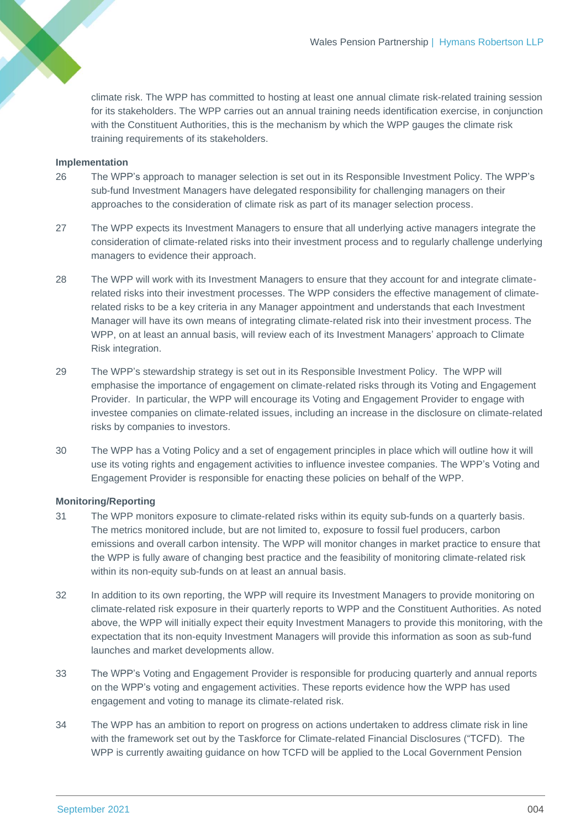climate risk. The WPP has committed to hosting at least one annual climate risk-related training session for its stakeholders. The WPP carries out an annual training needs identification exercise, in conjunction with the Constituent Authorities, this is the mechanism by which the WPP gauges the climate risk training requirements of its stakeholders.

#### **Implementation**

- 26 The WPP's approach to manager selection is set out in its Responsible Investment Policy. The WPP's sub-fund Investment Managers have delegated responsibility for challenging managers on their approaches to the consideration of climate risk as part of its manager selection process.
- 27 The WPP expects its Investment Managers to ensure that all underlying active managers integrate the consideration of climate-related risks into their investment process and to regularly challenge underlying managers to evidence their approach.
- 28 The WPP will work with its Investment Managers to ensure that they account for and integrate climaterelated risks into their investment processes. The WPP considers the effective management of climaterelated risks to be a key criteria in any Manager appointment and understands that each Investment Manager will have its own means of integrating climate-related risk into their investment process. The WPP, on at least an annual basis, will review each of its Investment Managers' approach to Climate Risk integration.
- 29 The WPP's stewardship strategy is set out in its Responsible Investment Policy. The WPP will emphasise the importance of engagement on climate-related risks through its Voting and Engagement Provider. In particular, the WPP will encourage its Voting and Engagement Provider to engage with investee companies on climate-related issues, including an increase in the disclosure on climate-related risks by companies to investors.
- 30 The WPP has a Voting Policy and a set of engagement principles in place which will outline how it will use its voting rights and engagement activities to influence investee companies. The WPP's Voting and Engagement Provider is responsible for enacting these policies on behalf of the WPP.

#### **Monitoring/Reporting**

- 31 The WPP monitors exposure to climate-related risks within its equity sub-funds on a quarterly basis. The metrics monitored include, but are not limited to, exposure to fossil fuel producers, carbon emissions and overall carbon intensity. The WPP will monitor changes in market practice to ensure that the WPP is fully aware of changing best practice and the feasibility of monitoring climate-related risk within its non-equity sub-funds on at least an annual basis.
- 32 In addition to its own reporting, the WPP will require its Investment Managers to provide monitoring on climate-related risk exposure in their quarterly reports to WPP and the Constituent Authorities. As noted above, the WPP will initially expect their equity Investment Managers to provide this monitoring, with the expectation that its non-equity Investment Managers will provide this information as soon as sub-fund launches and market developments allow.
- 33 The WPP's Voting and Engagement Provider is responsible for producing quarterly and annual reports on the WPP's voting and engagement activities. These reports evidence how the WPP has used engagement and voting to manage its climate-related risk.
- 34 The WPP has an ambition to report on progress on actions undertaken to address climate risk in line with the framework set out by the Taskforce for Climate-related Financial Disclosures ("TCFD). The WPP is currently awaiting guidance on how TCFD will be applied to the Local Government Pension